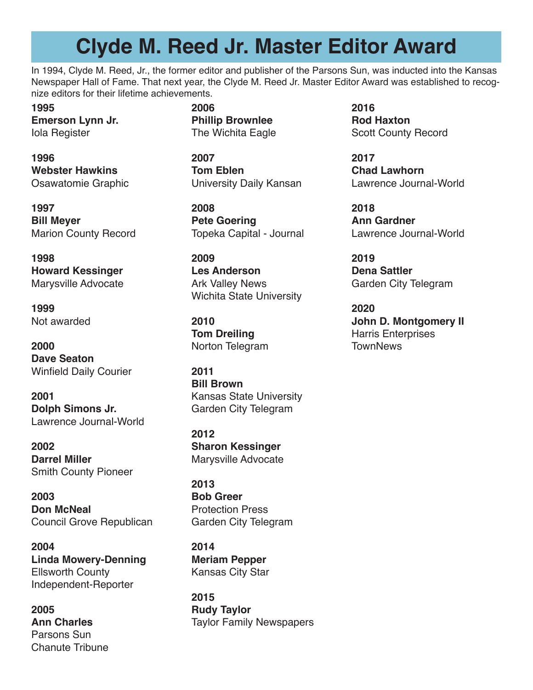### **Clyde M. Reed Jr. Master Editor Award**

In 1994, Clyde M. Reed, Jr., the former editor and publisher of the Parsons Sun, was inducted into the Kansas Newspaper Hall of Fame. That next year, the Clyde M. Reed Jr. Master Editor Award was established to recognize editors for their lifetime achievements.

**1995 Emerson Lynn Jr.** Iola Register

**1996 Webster Hawkins** Osawatomie Graphic

**1997 Bill Meyer** Marion County Record

**1998 Howard Kessinger** Marysville Advocate

**1999**  Not awarded

**2000 Dave Seaton** Winfield Daily Courier

**2001 Dolph Simons Jr.** Lawrence Journal-World

**2002 Darrel Miller** Smith County Pioneer

**2003 Don McNeal** Council Grove Republican

**2004 Linda Mowery-Denning** Ellsworth County Independent-Reporter

**2005 Ann Charles** Parsons Sun Chanute Tribune **2006 Phillip Brownlee** The Wichita Eagle

**2007 Tom Eblen** University Daily Kansan

**2008 Pete Goering** Topeka Capital - Journal

**2009 Les Anderson** Ark Valley News Wichita State University

**2010 Tom Dreiling** Norton Telegram

**2011 Bill Brown** Kansas State University Garden City Telegram

**2012 Sharon Kessinger** Marysville Advocate

**2013 Bob Greer** Protection Press Garden City Telegram

**2014 Meriam Pepper** Kansas City Star

**2015 Rudy Taylor** Taylor Family Newspapers **2016 Rod Haxton** Scott County Record

**2017 Chad Lawhorn** Lawrence Journal-World

**2018 Ann Gardner** Lawrence Journal-World

**2019 Dena Sattler** Garden City Telegram

**2020 John D. Montgomery II** Harris Enterprises **TownNews**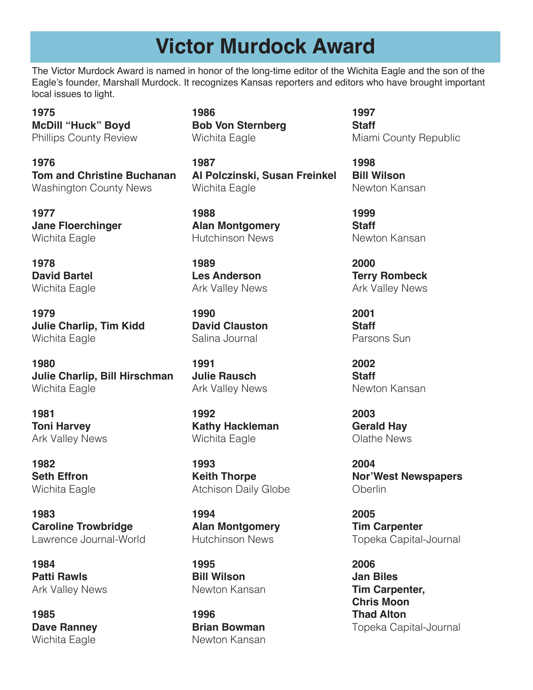### **Victor Murdock Award**

The Victor Murdock Award is named in honor of the long-time editor of the Wichita Eagle and the son of the Eagle's founder, Marshall Murdock. It recognizes Kansas reporters and editors who have brought important local issues to light.

**1975 McDill "Huck" Boyd** Phillips County Review

**1976 Tom and Christine Buchanan**  Washington County News

**1977 Jane Floerchinger**  Wichita Eagle

**1978 David Bartel**  Wichita Eagle

**1979 Julie Charlip, Tim Kidd**  Wichita Eagle

**1980 Julie Charlip, Bill Hirschman**  Wichita Eagle

**1981 Toni Harvey**  Ark Valley News

**1982 Seth Effron**  Wichita Eagle

**1983 Caroline Trowbridge** Lawrence Journal-World

**1984 Patti Rawls**  Ark Valley News

**1985 Dave Ranney** Wichita Eagle

**1986 Bob Von Sternberg** Wichita Eagle

**1987 Al Polczinski, Susan Freinkel** Wichita Eagle

**1988 Alan Montgomery** Hutchinson News

**1989 Les Anderson** Ark Valley News

**1990 David Clauston** Salina Journal

**1991 Julie Rausch** Ark Valley News

**1992 Kathy Hackleman** Wichita Eagle

**1993 Keith Thorpe** Atchison Daily Globe

**1994 Alan Montgomery** Hutchinson News

**1995 Bill Wilson** Newton Kansan

**1996 Brian Bowman** Newton Kansan

**1997 Staff** Miami County Republic

**1998 Bill Wilson** Newton Kansan

**1999 Staff** Newton Kansan

**2000 Terry Rombeck** Ark Valley News

**2001 Staff** Parsons Sun

**2002 Staff** Newton Kansan

**2003 Gerald Hay** Olathe News

**2004 Nor'West Newspapers Oberlin** 

**2005 Tim Carpenter** Topeka Capital-Journal

**2006 Jan Biles Tim Carpenter, Chris Moon Thad Alton** Topeka Capital-Journal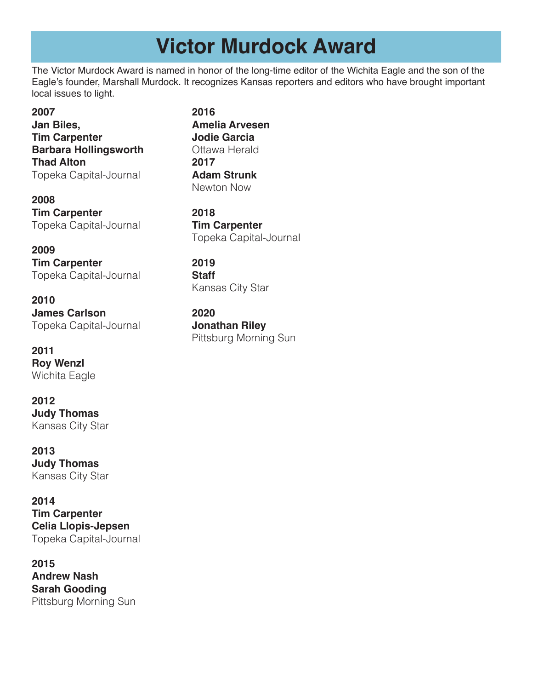## **Victor Murdock Award**

The Victor Murdock Award is named in honor of the long-time editor of the Wichita Eagle and the son of the Eagle's founder, Marshall Murdock. It recognizes Kansas reporters and editors who have brought important local issues to light.

**2007 Jan Biles, Tim Carpenter Barbara Hollingsworth Thad Alton** Topeka Capital-Journal

**2008 Tim Carpenter** Topeka Capital-Journal

**2009 Tim Carpenter** Topeka Capital-Journal

**2010 James Carlson** Topeka Capital-Journal

**2011 Roy Wenzl** Wichita Eagle

**2012 Judy Thomas** Kansas City Star

**2013 Judy Thomas** Kansas City Star

**2014 Tim Carpenter Celia Llopis-Jepsen** Topeka Capital-Journal

**2015 Andrew Nash Sarah Gooding** Pittsburg Morning Sun

**2016 Amelia Arvesen Jodie Garcia** Ottawa Herald **2017 Adam Strunk** Newton Now

**2018 Tim Carpenter** Topeka Capital-Journal

**2019 Staff** Kansas City Star

**2020 Jonathan Riley** Pittsburg Morning Sun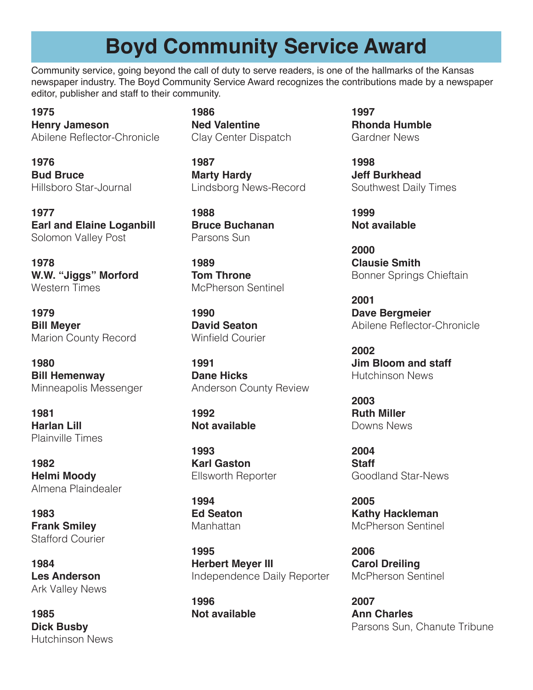## **Boyd Community Service Award**

Community service, going beyond the call of duty to serve readers, is one of the hallmarks of the Kansas newspaper industry. The Boyd Community Service Award recognizes the contributions made by a newspaper editor, publisher and staff to their community.

**1975 Henry Jameson** Abilene Reflector-Chronicle

**1976 Bud Bruce**  Hillsboro Star-Journal

**1977 Earl and Elaine Loganbill** Solomon Valley Post

**1978 W.W. "Jiggs" Morford** Western Times

**1979 Bill Meyer**  Marion County Record

**1980 Bill Hemenway**  Minneapolis Messenger

**1981 Harlan Lill**  Plainville Times

**1982 Helmi Moody** Almena Plaindealer

**1983 Frank Smiley** Stafford Courier

**1984 Les Anderson** Ark Valley News

**1985 Dick Busby** Hutchinson News **1986 Ned Valentine** Clay Center Dispatch

**1987 Marty Hardy** Lindsborg News-Record

**1988 Bruce Buchanan** Parsons Sun

**1989 Tom Throne** McPherson Sentinel

**1990 David Seaton** Winfield Courier

**1991 Dane Hicks** Anderson County Review

**1992 Not available**

**1993 Karl Gaston** Ellsworth Reporter

**1994 Ed Seaton** Manhattan

**1995 Herbert Meyer III** Independence Daily Reporter

**1996 Not available** **1997 Rhonda Humble** Gardner News

**1998 Jeff Burkhead** Southwest Daily Times

**1999 Not available**

**2000 Clausie Smith** Bonner Springs Chieftain

**2001 Dave Bergmeier** Abilene Reflector-Chronicle

**2002 Jim Bloom and staff** Hutchinson News

**2003 Ruth Miller** Downs News

**2004 Staff** Goodland Star-News

**2005 Kathy Hackleman** McPherson Sentinel

**2006 Carol Dreiling** McPherson Sentinel

**2007 Ann Charles** Parsons Sun, Chanute Tribune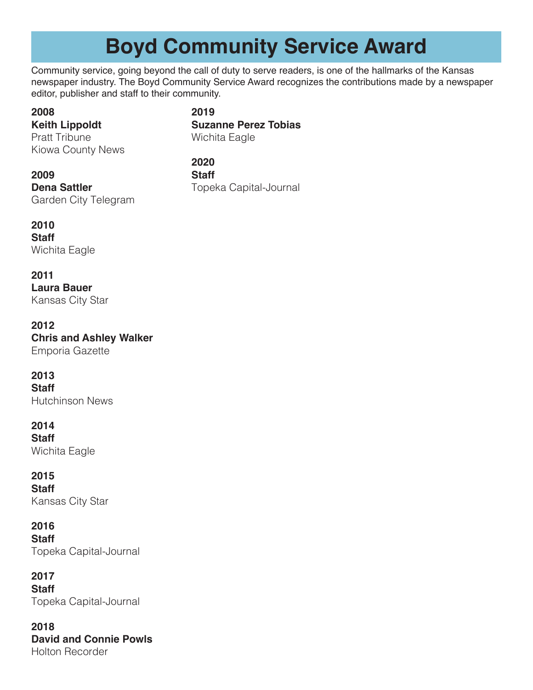# **Boyd Community Service Award**

Community service, going beyond the call of duty to serve readers, is one of the hallmarks of the Kansas newspaper industry. The Boyd Community Service Award recognizes the contributions made by a newspaper editor, publisher and staff to their community.

#### **2008**

#### **2019 Suzanne Perez Tobias** Wichita Eagle

**Keith Lippoldt** Pratt Tribune Kiowa County News

**2020 Staff** Topeka Capital-Journal

### **2009**

**Dena Sattler** Garden City Telegram

#### **2010**

**Staff** Wichita Eagle

#### **2011**

**Laura Bauer** Kansas City Star

#### **2012**

**Chris and Ashley Walker** Emporia Gazette

#### **2013**

**Staff** Hutchinson News

#### **2014**

**Staff**

Wichita Eagle

### **2015**

**Staff**

Kansas City Star

### **2016**

**Staff** Topeka Capital-Journal

#### **2017**

**Staff** Topeka Capital-Journal

#### **2018 David and Connie Powls**

Holton Recorder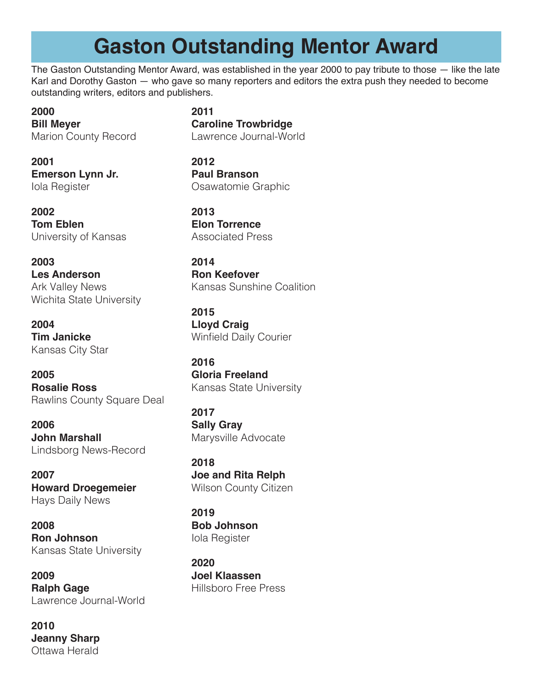# **Gaston Outstanding Mentor Award**

The Gaston Outstanding Mentor Award, was established in the year 2000 to pay tribute to those — like the late Karl and Dorothy Gaston — who gave so many reporters and editors the extra push they needed to become outstanding writers, editors and publishers.

**2000 Bill Meyer** Marion County Record

**2001 Emerson Lynn Jr.** Iola Register

**2002 Tom Eblen** University of Kansas

**2003 Les Anderson** Ark Valley News Wichita State University

**2004 Tim Janicke** Kansas City Star

**2005 Rosalie Ross** Rawlins County Square Deal

**2006 John Marshall** Lindsborg News-Record

**2007 Howard Droegemeier** Hays Daily News

**2008 Ron Johnson** Kansas State University

**2009 Ralph Gage** Lawrence Journal-World

**2010 Jeanny Sharp** Ottawa Herald

**2011 Caroline Trowbridge** Lawrence Journal-World

**2012 Paul Branson** Osawatomie Graphic

**2013 Elon Torrence** Associated Press

**2014**

**Ron Keefover** Kansas Sunshine Coalition

**2015 Lloyd Craig** Winfield Daily Courier

**2016 Gloria Freeland** Kansas State University

**2017 Sally Gray** Marysville Advocate

**2018 Joe and Rita Relph** Wilson County Citizen

**2019 Bob Johnson** Iola Register

**2020 Joel Klaassen** Hillsboro Free Press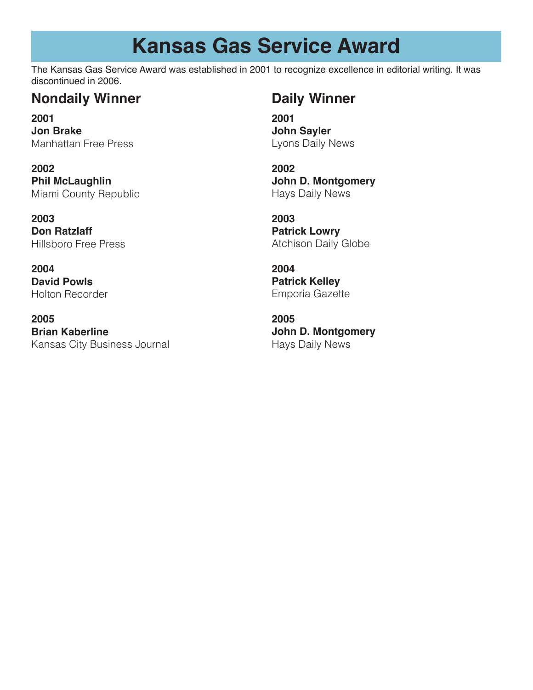## **Kansas Gas Service Award**

The Kansas Gas Service Award was established in 2001 to recognize excellence in editorial writing. It was discontinued in 2006.

### **Nondaily Winner Daily Winner**

**2001 Jon Brake** Manhattan Free Press

**2002 Phil McLaughlin** Miami County Republic

**2003 Don Ratzlaff** Hillsboro Free Press

**2004 David Powls** Holton Recorder

**2005 Brian Kaberline** Kansas City Business Journal

**2001 John Sayler** Lyons Daily News

**2002 John D. Montgomery** Hays Daily News

**2003 Patrick Lowry** Atchison Daily Globe

**2004 Patrick Kelley** Emporia Gazette

**2005 John D. Montgomery** Hays Daily News